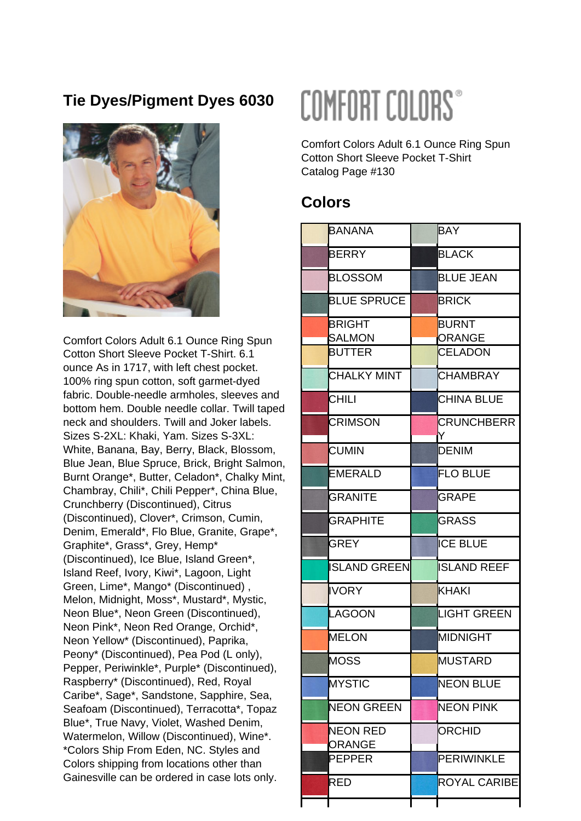## **Tie Dyes/Pigment Dyes 6030**



Comfort Colors Adult 6.1 Ounce Ring Spun Cotton Short Sleeve Pocket T-Shirt. 6.1 ounce As in 1717, with left chest pocket. 100% ring spun cotton, soft garmet-dyed fabric. Double-needle armholes, sleeves and bottom hem. Double needle collar. Twill taped neck and shoulders. Twill and Joker labels. Sizes S-2XL: Khaki, Yam. Sizes S-3XL: White, Banana, Bay, Berry, Black, Blossom, Blue Jean, Blue Spruce, Brick, Bright Salmon, Burnt Orange\*, Butter, Celadon\*, Chalky Mint, Chambray, Chili\*, Chili Pepper\*, China Blue, Crunchberry (Discontinued), Citrus (Discontinued), Clover\*, Crimson, Cumin, Denim, Emerald\*, Flo Blue, Granite, Grape\*, Graphite\*, Grass\*, Grey, Hemp\* (Discontinued), Ice Blue, Island Green\*, Island Reef, Ivory, Kiwi\*, Lagoon, Light Green, Lime\*, Mango\* (Discontinued) , Melon, Midnight, Moss\*, Mustard\*, Mystic, Neon Blue\*, Neon Green (Discontinued), Neon Pink\*, Neon Red Orange, Orchid\*, Neon Yellow\* (Discontinued), Paprika, Peony\* (Discontinued), Pea Pod (L only), Pepper, Periwinkle\*, Purple\* (Discontinued), Raspberry\* (Discontinued), Red, Royal Caribe\*, Sage\*, Sandstone, Sapphire, Sea, Seafoam (Discontinued), Terracotta\*, Topaz Blue\*, True Navy, Violet, Washed Denim, Watermelon, Willow (Discontinued), Wine\*. \*Colors Ship From Eden, NC. Styles and Colors shipping from locations other than Gainesville can be ordered in case lots only.

## **COMFORT COLORS**

Comfort Colors Adult 6.1 Ounce Ring Spun Cotton Short Sleeve Pocket T-Shirt Catalog Page #130

## **Colors**

| <b>BANANA</b>           | BAY                    |
|-------------------------|------------------------|
|                         |                        |
| <b>BERRY</b>            | <b>BLACK</b>           |
| BLOSSOM                 | <b>BLUE JEAN</b>       |
| <b>BLUE SPRUCE</b>      | <b>BRICK</b>           |
| <b>BRIGHT</b><br>SALMON | <b>BURNT</b><br>ORANGE |
| <b>BUTTER</b>           | <b>CELADON</b>         |
| <b>CHALKY MINT</b>      | <b>CHAMBRAY</b>        |
| <b>CHILI</b>            | <b>CHINA BLUE</b>      |
| <b>CRIMSON</b>          | <b>CRUNCHBERR</b>      |
| <b>CUMIN</b>            | <b>DENIM</b>           |
| <b>EMERALD</b>          | <b>FLO BLUE</b>        |
| <b>GRANITE</b>          | <b>GRAPE</b>           |
| <b>GRAPHITE</b>         | GRASS                  |
| GREY                    | <b>ICE BLUE</b>        |
| <b>ISLAND GREEN</b>     | <b>ISLAND REEF</b>     |
| <b>IVORY</b>            | <b>KHAKI</b>           |
| <b>LAGOON</b>           | <b>LIGHT GREEN</b>     |
| MELON                   | MIDNIGHT               |
| MOSS                    | MUSTARD                |
| <b>MYSTIC</b>           | <b>NEON BLUE</b>       |
| <b>NEON GREEN</b>       | NEON PINK              |
| NEON RED<br>ORANGE      | <b>ORCHID</b>          |
| <b>PEPPER</b>           | <b>PERIWINKLE</b>      |
| <b>RED</b>              | <b>ROYAL CARIBE</b>    |
|                         |                        |